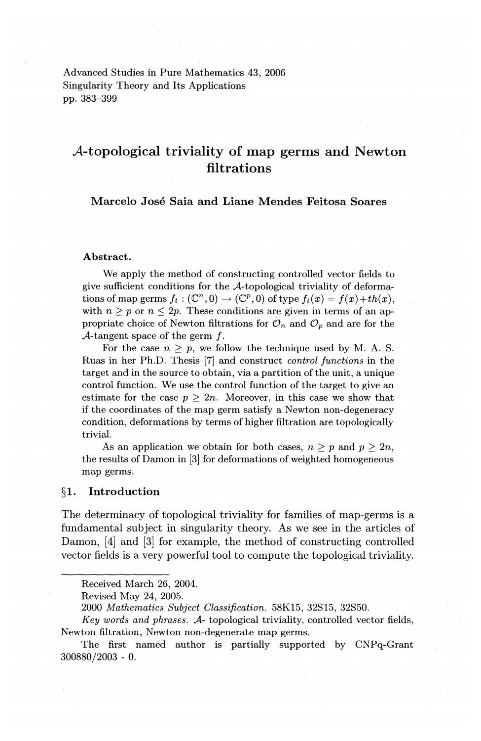Advanced Studies in Pure Mathematics 43, 2006 Singularity Theory and Its Applications pp. 383-399

# A-topological triviality of map germs and Newton filtrations

# Marcelo Jose Saia and Liane Mendes Feitosa Soares

#### Abstract.

We apply the method of constructing controlled vector fields to give sufficient conditions for the A-topological triviality of deformations of map germs  $f_t : (\mathbb{C}^n, 0) \to (\mathbb{C}^p, 0)$  of type  $f_t(x) = f(x) + th(x)$ , with  $n \geq p$  or  $n \leq 2p$ . These conditions are given in terms of an appropriate choice of Newton filtrations for  $\mathcal{O}_n$  and  $\mathcal{O}_p$  and are for the A-tangent space of the germ  $f$ .

For the case  $n > p$ , we follow the technique used by M. A. S. Ruas in her Ph.D. Thesis [7] and construct *control functions* in the target and in the source to obtain, via a partition of the unit, a unique control function. We use the control function of the target to give an estimate for the case  $p > 2n$ . Moreover, in this case we show that if the coordinates of the map germ satisfy a Newton non-degeneracy condition, deformations by terms of higher filtration are topologically trivial.

As an application we obtain for both cases,  $n > p$  and  $p > 2n$ . the results of Damon in [3] for deformations of weighted homogeneous map germs.

## §1. Introduction

The determinacy of topological triviality for families of map-germs is a fundamental subject in singularity theory. As we see in the articles of Damon, [4] and [3] for example, the method of constructing controlled vector fields is a very powerful tool to compute the topological triviality.

Received March 26, 2004.

Revised May 24, 2005.

<sup>2000</sup> *Mathematics Subject Classification.* 58K15, 32S15, 32S50.

*Key words and phrases. A-* topological triviality, controlled vector fields, Newton filtration, Newton non-degenerate map germs.

The first named author is partially supported by CNPq-Grant 300880/2003 - 0.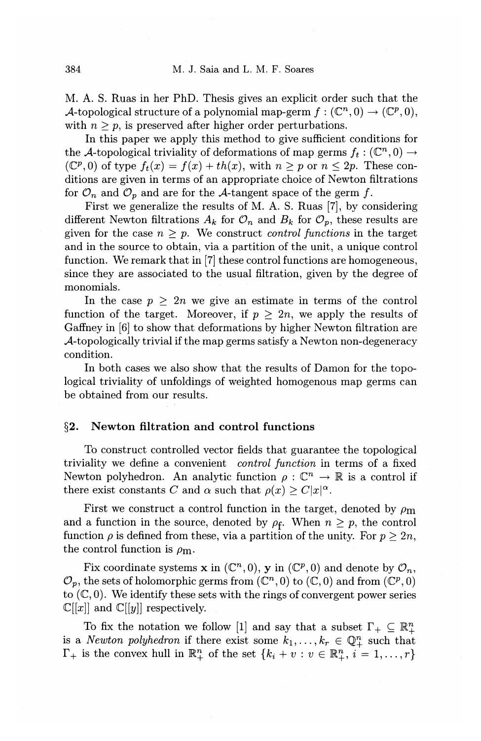M. A. S. Ruas in her PhD. Thesis gives an explicit order such that the A-topological structure of a polynomial map-germ  $f: (\mathbb{C}^n,0) \to (\mathbb{C}^p,0),$ with  $n \geq p$ , is preserved after higher order perturbations.

In this paper we apply this method to give sufficient conditions for the A-topological triviality of deformations of map germs  $f_t : (\mathbb{C}^n, 0) \to$ ( $\mathbb{C}^p$ , 0) of type  $f_t(x) = f(x) + th(x)$ , with  $n \geq p$  or  $n \leq 2p$ . These conditions are given in terms of an appropriate choice of Newton filtrations for  $\mathcal{O}_n$  and  $\mathcal{O}_p$  and are for the A-tangent space of the germ f.

First we generalize the results of M. A. S. Ruas [7], by considering different Newton filtrations  $A_k$  for  $\mathcal{O}_n$  and  $B_k$  for  $\mathcal{O}_p$ , these results are given for the case  $n \geq p$ . We construct *control functions* in the target and in the source to obtain, via a partition of the unit, a unique control function. We remark that in [7] these control functions are homogeneous, since they are associated to the usual filtration, given by the degree of monomials.

In the case  $p \geq 2n$  we give an estimate in terms of the control function of the target. Moreover, if  $p \geq 2n$ , we apply the results of Gaffney in [6] to show that deformations by higher Newton filtration are A-topologically trivial if the map germs satisfy a Newton non-degeneracy condition.

In both cases we also show that the results of Damon for the topological triviality of unfoldings of weighted homogenous map germs can be obtained from our results.

# §2. Newton filtration and control functions

To construct controlled vector fields that guarantee the topological triviality we define a convenient *control function* in terms of a fixed Newton polyhedron. An analytic function  $\rho : \mathbb{C}^n \to \mathbb{R}$  is a control if there exist constants *C* and  $\alpha$  such that  $\rho(x) \geq C|x|^{\alpha}$ .

First we construct a control function in the target, denoted by  $\rho_{\rm m}$ and a function in the source, denoted by  $\rho_f$ . When  $n \geq p$ , the control function  $\rho$  is defined from these, via a partition of the unity. For  $p \geq 2n$ , the control function is  $\rho_{\rm m}$ .

Fix coordinate systems **x** in  $(\mathbb{C}^n,0)$ , **y** in  $(\mathbb{C}^p,0)$  and denote by  $\mathcal{O}_n$ ,  $\mathcal{O}_p,$  the sets of holomorphic germs from  $(\mathbb{C}^n,0)$  to  $(\mathbb{C},0)$  and from  $(\mathbb{C}^p,0)$ to  $(\mathbb{C}, 0)$ . We identify these sets with the rings of convergent power series  $\mathbb{C}[[x]]$  and  $\mathbb{C}[[y]]$  respectively.

To fix the notation we follow [1] and say that a subset  $\Gamma_+ \subseteq \mathbb{R}^n_+$ is a *Newton polyhedron* if there exist some  $k_1, \ldots, k_r \in \mathbb{Q}_+^n$  such that  $\Gamma_+$  is the convex hull in  $\mathbb{R}^n_+$  of the set  $\{k_i + v : v \in \mathbb{R}^n_+, i = 1, \ldots, r\}$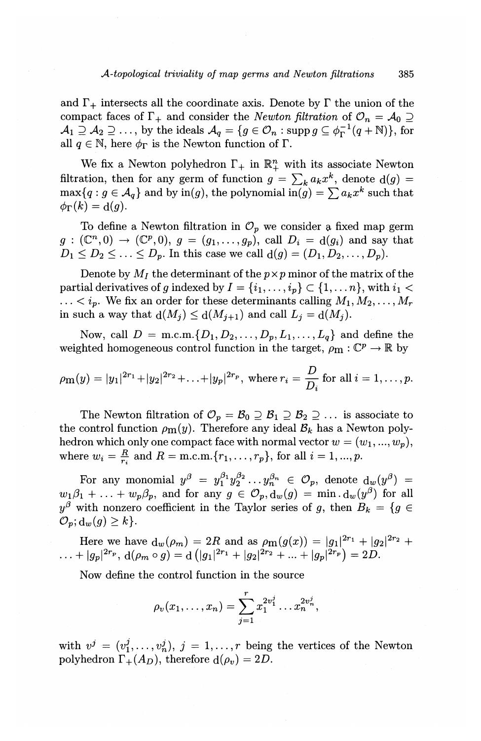and  $\Gamma_+$  intersects all the coordinate axis. Denote by  $\Gamma$  the union of the compact faces of  $\Gamma_+$  and consider the *Newton filtration* of  $\mathcal{O}_n = \mathcal{A}_0 \supseteq$  $\mathcal{A}_1 \supseteq \mathcal{A}_2 \supseteq \ldots$ , by the ideals  $\mathcal{A}_q = \{g \in \mathcal{O}_n : \text{supp } g \subseteq \phi_{\Gamma}^{-1}(q + \mathbb{N})\},\$ for all  $q \in \mathbb{N}$ , here  $\phi_{\Gamma}$  is the Newton function of  $\Gamma$ .

We fix a Newton polyhedron  $\Gamma_+$  in  $\mathbb{R}^n_+$  with its associate Newton filtration, then for any germ of function  $g = \sum_k a_k x^k$ , denote  $d(g)$  $\max\{q : g \in A_q\}$  and by  $\text{in}(g)$ , the polynomial  $\text{in}(g) = \sum a_k x^k$  such that  $\phi_{\Gamma}(k) = d(g).$ 

To define a Newton filtration in  $\mathcal{O}_p$  we consider a fixed map germ  $g: (\mathbb{C}^n,0) \to (\mathbb{C}^p,0), g = (g_1,\ldots,g_p),$  call  $D_i = d(g_i)$  and say that  $D_1 \leq D_2 \leq \ldots \leq D_p$ . In this case we call  $d(g) = (D_1, D_2, \ldots, D_p)$ .

Denote by  $M_I$  the determinant of the  $p \times p$  minor of the matrix of the partial derivatives of g indexed by  $I = \{i_1, \ldots, i_p\} \subset \{1, \ldots, n\}$ , with  $i_1 <$  $\ldots$  <  $i_p$ . We fix an order for these determinants calling  $M_1, M_2, \ldots, M_r$ in such a way that  $d(M_j) \le d(M_{j+1})$  and call  $L_j = d(M_j)$ .

Now, call  $D = \text{m.c.m.} \{D_1, D_2, \ldots, D_p, L_1, \ldots, L_q\}$  and define the weighted homogeneous control function in the target,  $\rho_m : \mathbb{C}^p \to \mathbb{R}$  by

$$
\rho_{m}(y) = |y_1|^{2r_1} + |y_2|^{2r_2} + \ldots + |y_p|^{2r_p}
$$
, where  $r_i = \frac{D}{D_i}$  for all  $i = 1, \ldots, p$ .

The Newton filtration of  $\mathcal{O}_p = \mathcal{B}_0 \supseteq \mathcal{B}_1 \supseteq \mathcal{B}_2 \supseteq \dots$  is associate to the control function  $\rho_{m}(y)$ . Therefore any ideal  $\mathcal{B}_{k}$  has a Newton polyhedron which only one compact face with normal vector  $w = (w_1, ..., w_p)$ , where  $w_i = \frac{R}{r_i}$  and  $R = \text{m.c.m.} \{r_1, \ldots, r_p\}$ , for all  $i = 1, ..., p$ .

For any monomial  $y^{\beta} = y_1^{\beta_1} y_2^{\beta_2} \ldots y_n^{\beta_n} \in \mathcal{O}_p$ , denote  $d_w(y^{\beta}) =$  $w_1\beta_1 + \ldots + w_p\beta_p$ , and for any  $g \in \mathcal{O}_p$ ,  $d_w(g) = \min d_w(g^{\beta})$  for all  $y^{\beta}$  with nonzero coefficient in the Taylor series of *g*, then  $B_k = \{g \in$  $\mathcal{O}_p$ ;  $d_w(g) \geq k$ .

Here we have  $d_w(\rho_m) = 2R$  and as  $\rho_m(g(x)) = |g_1|^{2r_1} + |g_2|^{2r_2} +$  $\ldots + |g_p|^{2r_p}, \, \mathrm{d}(\rho_m \circ g) = \mathrm{d} (|g_1|^{2r_1}+|g_2|^{2r_2}+\ldots+|g_p|^{2r_p}) = 2D.$ 

Now define the control function in the source

$$
\rho_v(x_1,\ldots,x_n)=\sum_{j=1}^r x_1^{2v_1^j}\ldots x_n^{2v_n^j},
$$

with  $v^j = (v_1^j, \ldots, v_n^j), j = 1, \ldots, r$  being the vertices of the Newton polyhedron  $\Gamma_+(A_D)$ , therefore  $d(\rho_v) = 2D$ .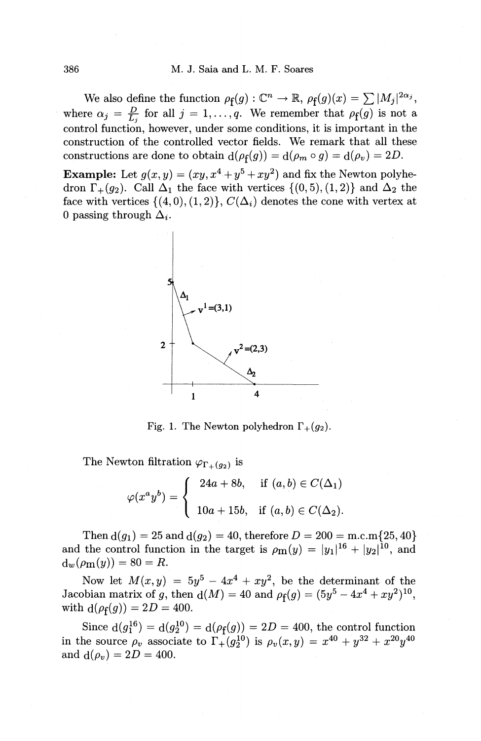We also define the function  $\rho_f(g) : \mathbb{C}^n \to \mathbb{R}$ ,  $\rho_f(g)(x) = \sum |M_j|^{2\alpha_j}$ , where  $\alpha_j = \frac{D}{L_i}$  for all  $j = 1, \ldots, q$ . We remember that  $\rho_f(g)$  is not a control function, however, under some conditions, it is important in the construction of the controlled vector fields. We remark that all these constructions are done to obtain  $d(\rho_f(g)) = d(\rho_m \circ g) = d(\rho_v) = 2D$ .

**Example:** Let  $g(x, y) = (xy, x^4 + y^5 + xy^2)$  and fix the Newton polyhedron  $\Gamma_+(q_2)$ . Call  $\Delta_1$  the face with vertices  $\{(0,5), (1,2)\}\)$  and  $\Delta_2$  the face with vertices  $\{(4,0),(1,2)\}, C(\Delta_i)$  denotes the cone with vertex at 0 passing through  $\Delta_i$ .



Fig. 1. The Newton polyhedron  $\Gamma_+(g_2)$ .

The Newton filtration  $\varphi_{\Gamma_+(q_2)}$  is

$$
\varphi(x^a y^b) = \begin{cases}\n24a + 8b, & \text{if } (a, b) \in C(\Delta_1) \\
10a + 15b, & \text{if } (a, b) \in C(\Delta_2).\n\end{cases}
$$

Then  $d(g_1) = 25$  and  $d(g_2) = 40$ , therefore  $D = 200 = m.c.m$  {25, 40} and the control function in the target is  $\rho_{m}(y) = |y_1|^{16} + |y_2|^{10}$ , and  $d_w(\rho_m(y)) = 80 = R.$ 

Now let  $M(x, y) = 5y^5 - 4x^4 + xy^2$ , be the determinant of the Jacobian matrix of g, then  $d(M) = 40$  and  $\rho_f(g) = (5y^5 - 4x^4 + xy^2)^{10}$ , with  $d(\rho_f(g)) = 2D = 400$ .

Since  $d(g_1^{16}) = d(g_2^{10}) = d(\rho_f(g)) = 2D = 400$ , the control function in the source  $\rho_v$  associate to  $\Gamma_+(g_2^{10})$  is  $\rho_v(x, y) = x^{40} + y^{32} + x^{20}y^{40}$ and  $d(\rho_v) = 2D = 400$ .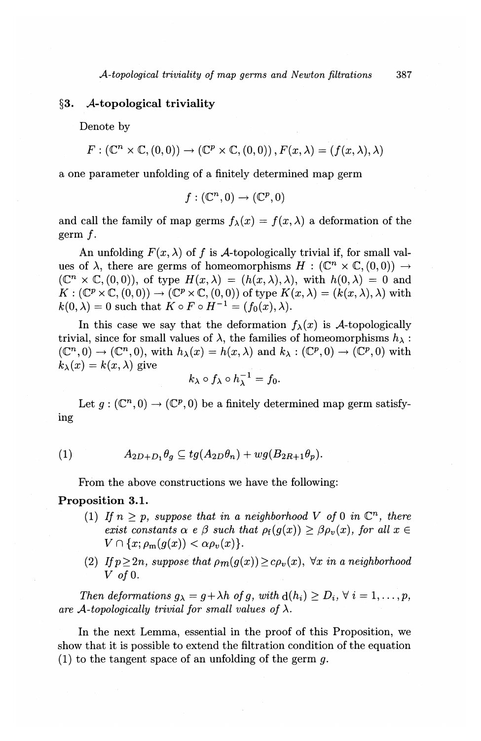# **§3. A-topological triviality**

Denote by

 $F: (\mathbb{C}^n \times \mathbb{C}, (0,0)) \to (\mathbb{C}^p \times \mathbb{C}, (0,0)), F(x, \lambda) = (f(x, \lambda), \lambda)$ 

a one parameter unfolding of a finitely determined map germ

$$
f: (\mathbb{C}^n, 0) \to (\mathbb{C}^p, 0)
$$

and call the family of map germs  $f_{\lambda}(x) = f(x, \lambda)$  a deformation of the germ f.

An unfolding  $F(x, \lambda)$  of f is A-topologically trivial if, for small values of  $\lambda$ , there are germs of homeomorphisms  $H : (\mathbb{C}^n \times \mathbb{C}, (0, 0)) \rightarrow$  $(\mathbb{C}^n \times \mathbb{C}, (0,0)),$  of type  $H(x,\lambda) = (h(x,\lambda),\lambda)$ , with  $h(0,\lambda) = 0$  and  $K: (\mathbb{C}^p \times \mathbb{C}, (0,0)) \to (\mathbb{C}^p \times \mathbb{C}, (0,0))$  of type  $K(x,\lambda) = (k(x,\lambda),\lambda)$  with  $k(0, \lambda) = 0$  such that  $K \circ F \circ H^{-1} = (f_0(x), \lambda)$ .

In this case we say that the deformation  $f_{\lambda}(x)$  is A-topologically trivial, since for small values of  $\lambda$ , the families of homeomorphisms  $h_{\lambda}$ :  $(\mathbb{C}^n, 0) \to (\mathbb{C}^n, 0)$ , with  $h_\lambda(x) = h(x, \lambda)$  and  $k_\lambda : (\mathbb{C}^p, 0) \to (\mathbb{C}^p, 0)$  with  $k_{\lambda}(x) = k(x, \lambda)$  give

$$
k_{\lambda}\circ f_{\lambda}\circ h_{\lambda}^{-1}=f_0.
$$

Let  $g: (\mathbb{C}^n, 0) \to (\mathbb{C}^p, 0)$  be a finitely determined map germ satisfying

(1) 
$$
A_{2D+D_1}\theta_q \subseteq tg(A_{2D}\theta_n)+wg(B_{2R+1}\theta_p).
$$

From the above constructions we have the following:

# **Proposition 3.1.**

- (1) If  $n > p$ , suppose that in a neighborhood V of 0 in  $\mathbb{C}^n$ , there *exist constants*  $\alpha \in \beta$  *such that*  $\rho_f(g(x)) \geq \beta \rho_v(x)$ , for all  $x \in$  $V \cap \{x; \rho_m(g(x)) < \alpha \rho_v(x)\}.$
- (2) If  $p \geq 2n$ , *suppose that*  $\rho_m(g(x)) \geq c \rho_v(x)$ ,  $\forall x$  in a neighborhood *V ofO.*

*Then deformations*  $g_{\lambda} = g + \lambda h$  *of g, with*  $d(h_i) \ge D_i$ ,  $\forall i = 1, ..., p$ , are A-topologically trivial for small values of  $\lambda$ .

In the next Lemma, essential in the proof of this Proposition, we show that it is possible to extend the filtration condition of the equation (1) to the tangent space of an unfolding of the germ  $q$ .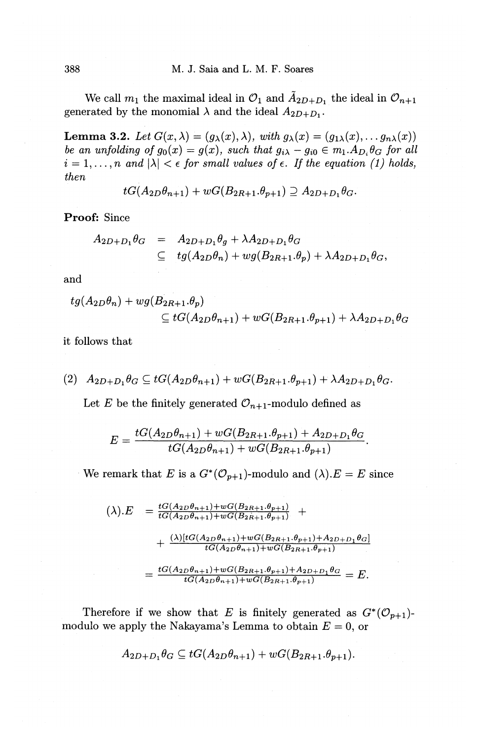We call  $m_1$  the maximal ideal in  $\mathcal{O}_1$  and  $\tilde{A}_{2D+D_1}$  the ideal in  $\mathcal{O}_{n+1}$ generated by the monomial  $\lambda$  and the ideal  $A_{2D+D_1}$ .

**Lemma 3.2.** Let  $G(x, \lambda) = (g_{\lambda}(x), \lambda)$ , *with*  $g_{\lambda}(x) = (g_{1\lambda}(x), \ldots, g_{n\lambda}(x))$ *be an unfolding of*  $g_0(x) = g(x)$ , *such that*  $g_{i\lambda} - g_{i0} \in m_1.A_{D_i} \theta_G$  for all  $i = 1, \ldots, n$  and  $|\lambda| < \epsilon$  for small values of  $\epsilon$ . If the equation (1) holds, *then* 

$$
tG(A_{2D}\theta_{n+1})+wG(B_{2R+1}.\theta_{p+1})\supseteq A_{2D+D_1}\theta_G.
$$

**Proof:** Since

$$
A_{2D+D_1}\theta_G = A_{2D+D_1}\theta_g + \lambda A_{2D+D_1}\theta_G
$$
  
\n
$$
\subseteq tg(A_{2D}\theta_n) + wg(B_{2R+1}.\theta_p) + \lambda A_{2D+D_1}\theta_G,
$$

and

$$
tg(A_{2D}\theta_n) + wg(B_{2R+1}.\theta_p)
$$
  
\n
$$
\subseteq tG(A_{2D}\theta_{n+1}) + wG(B_{2R+1}.\theta_{p+1}) + \lambda A_{2D+D_1}\theta_G
$$

it follows that

$$
(2) \quad A_{2D+D_1}\theta_G \subseteq tG(A_{2D}\theta_{n+1}) + wG(B_{2R+1}.\theta_{p+1}) + \lambda A_{2D+D_1}\theta_G.
$$

Let *E* be the finitely generated  $\mathcal{O}_{n+1}$ -modulo defined as

$$
E = \frac{tG(A_{2D}\theta_{n+1}) + wG(B_{2R+1}.\theta_{p+1}) + A_{2D+D_1}\theta_G}{tG(A_{2D}\theta_{n+1}) + wG(B_{2R+1}.\theta_{p+1})}.
$$

We remark that E is a  $G^*(\mathcal{O}_{p+1})$ -modulo and  $(\lambda).E = E$  since

$$
(\lambda).E = \frac{tG(A_{2D}\theta_{n+1}) + wG(B_{2R+1}\theta_{p+1})}{tG(A_{2D}\theta_{n+1}) + wG(B_{2R+1}\theta_{p+1})} +
$$
  
+ 
$$
\frac{(\lambda)[tG(A_{2D}\theta_{n+1}) + wG(B_{2R+1}\theta_{p+1}) + A_{2D+D_1}\theta_G]}{tG(A_{2D}\theta_{n+1}) + wG(B_{2R+1}\theta_{p+1})}
$$
  
= 
$$
\frac{tG(A_{2D}\theta_{n+1}) + wG(B_{2R+1}\theta_{p+1}) + A_{2D+D_1}\theta_G}{tG(A_{2D}\theta_{n+1}) + wG(B_{2R+1}\theta_{p+1})} = E.
$$

Therefore if we show that E is finitely generated as  $G^*(\mathcal{O}_{p+1})$ modulo we apply the Nakayama's Lemma to obtain  $E = 0$ , or

$$
A_{2D+D_1}\theta_G \subseteq tG(A_{2D}\theta_{n+1}) + wG(B_{2R+1}.\theta_{p+1}).
$$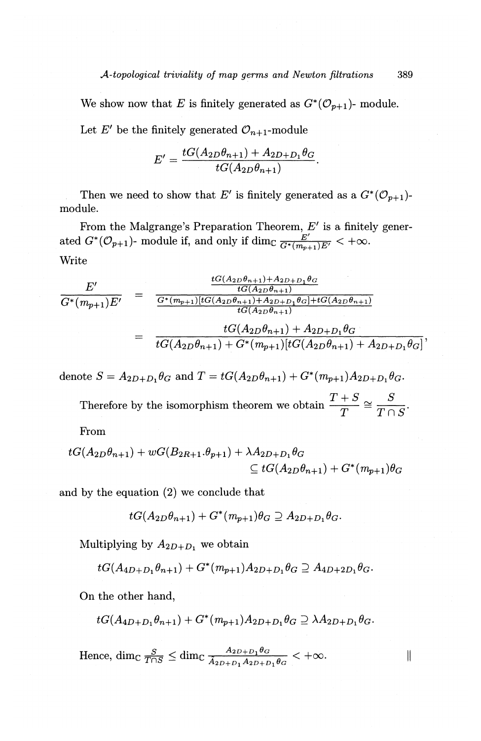We show now that E is finitely generated as  $G^*(\mathcal{O}_{p+1})$ - module. Let  $E'$  be the finitely generated  $\mathcal{O}_{n+1}$ -module

$$
E' = \frac{tG(A_{2D}\theta_{n+1}) + A_{2D+D_1}\theta_G}{tG(A_{2D}\theta_{n+1})}.
$$

Then we need to show that *E'* is finitely generated as a  $G^*(\mathcal{O}_{p+1})$ module.

From the Malgrange's Preparation Theorem, *E'* is a finitely generated  $G^*(\mathcal{O}_{p+1})$ - module if, and only if dim $\frac{E'}{G^*(m_{p+1})E'} < +\infty$ . Write

$$
\frac{E'}{G^*(m_{p+1})E'} = \frac{\frac{tG(A_{2D}\theta_{n+1}) + A_{2D+D_1}\theta_G}{tG(A_{2D}\theta_{n+1})}}{\frac{G^*(m_{p+1})[tG(A_{2D}\theta_{n+1}) + A_{2D+D_1}\theta_G]+tG(A_{2D}\theta_{n+1})}}
$$
\n
$$
= \frac{tG(A_{2D}\theta_{n+1}) + A_{2D+D_1}\theta_G}{tG(A_{2D}\theta_{n+1}) + G^*(m_{p+1})[tG(A_{2D}\theta_{n+1}) + A_{2D+D_1}\theta_G]}
$$

denote  $S = A_{2D+D_1} \theta_G$  and  $T = tG(A_{2D}\theta_{n+1}) + G^*(m_{p+1})A_{2D+D_1} \theta_G$ .

Therefore by the isomorphism theorem we obtain  $\frac{T+S}{T} \cong \frac{S}{T \cap S}$ .

From

$$
tG(A_{2D}\theta_{n+1}) + wG(B_{2R+1}.\theta_{p+1}) + \lambda A_{2D+D_1}\theta_G
$$
  
\n
$$
\subseteq tG(A_{2D}\theta_{n+1}) + G^*(m_{p+1})\theta_G
$$

and by the equation (2) we conclude that

$$
tG(A_{2D}\theta_{n+1})+G^*(m_{p+1})\theta_G\supseteq A_{2D+D_1}\theta_G.
$$

Multiplying by  $A_{2D+D_1}$  we obtain

$$
tG(A_{4D+D_1}\theta_{n+1})+G^*(m_{p+1})A_{2D+D_1}\theta_G\supseteq A_{4D+2D_1}\theta_G.
$$

On the other hand,

$$
tG(A_{4D+D_1}\theta_{n+1})+G^*(m_{p+1})A_{2D+D_1}\theta_G\supseteq \lambda A_{2D+D_1}\theta_G.
$$

II

Hence,  $\dim_{\mathbb{C}} \frac{S}{T \cap S} \leq \dim_{\mathbb{C}} \frac{A_{2D+D_1} \theta_G}{A_{2D+D_1} A_{2D+D_1} \theta_G} < +\infty.$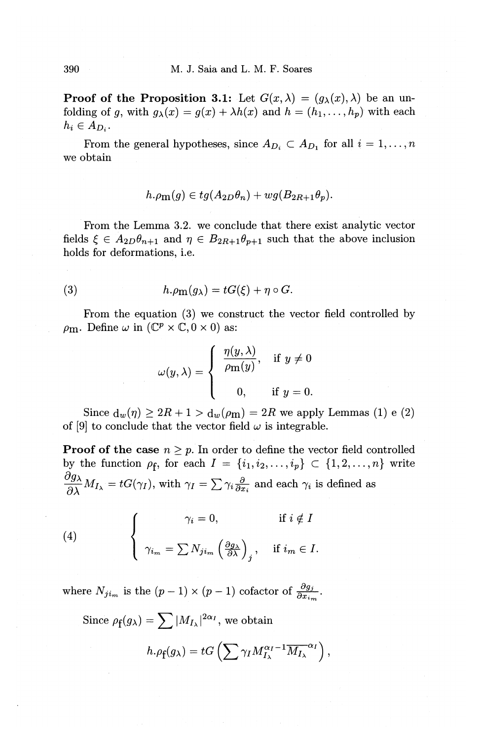**Proof of the Proposition 3.1:** Let  $G(x, \lambda) = (g_{\lambda}(x), \lambda)$  be an unfolding of g, with  $g_{\lambda}(x) = g(x) + \lambda h(x)$  and  $h = (h_1, \ldots, h_p)$  with each  $h_i\in A_{D_i}$ .

From the general hypotheses, since  $A_{D_i} \subset A_{D_1}$  for all  $i = 1, ..., n$ we obtain

$$
h.\rho_{\mathbf{m}}(g) \in tg(A_{2D}\theta_n) + wg(B_{2R+1}\theta_p).
$$

From the Lemma 3.2. we conclude that there exist analytic vector fields  $\xi \in A_{2D}\theta_{n+1}$  and  $\eta \in B_{2R+1}\theta_{p+1}$  such that the above inclusion holds for deformations, i.e.

(3) 
$$
h.\rho_{\mathbf{m}}(g_{\lambda}) = tG(\xi) + \eta \circ G.
$$

From the equation (3) we construct the vector field controlled by  $\rho_{\text{m}}$ . Define  $\omega$  in  $(\mathbb{C}^p \times \mathbb{C}, 0 \times 0)$  as:

$$
\omega(y,\lambda) = \begin{cases} \frac{\eta(y,\lambda)}{\rho \mathrm{m}(y)}, & \text{if } y \neq 0 \\ 0, & \text{if } y = 0. \end{cases}
$$

Since  $d_w(\eta) \geq 2R + 1 > d_w(\rho m) = 2R$  we apply Lemmas (1) e (2) of [9] to conclude that the vector field  $\omega$  is integrable.

**Proof of the case**  $n \geq p$ . In order to define the vector field controlled by the function  $\rho_f$ , for each  $I = \{i_1, i_2, \ldots, i_p\} \subset \{1, 2, \ldots, n\}$  write  $\frac{\partial g_\lambda}{\partial \lambda} M_{I_\lambda} = tG(\gamma_I)$ , with  $\gamma_I = \sum \gamma_i \frac{\partial}{\partial x_i}$  and each  $\gamma_i$  is defined as

(4) 
$$
\begin{cases} \gamma_i = 0, & \text{if } i \notin I \\ \gamma_{i_m} = \sum N_{j i_m} \left( \frac{\partial g_{\lambda}}{\partial \lambda} \right)_j, & \text{if } i_m \in I. \end{cases}
$$

where  $N_{ji_m}$  is the  $(p-1) \times (p-1)$  cofactor of  $\frac{\partial g_j}{\partial x_{im}}$ .

Since  $\rho_f(g_\lambda) = \sum |M_{I_\lambda}|^{2\alpha_I}$ , we obtain

$$
h.\rho_{\mathbf{f}}(g_{\lambda})=tG\left(\sum \gamma_{I}M_{I_{\lambda}}^{\alpha_{I}-1}\overline{M_{I_{\lambda}}}^{\alpha_{I}}\right),\,
$$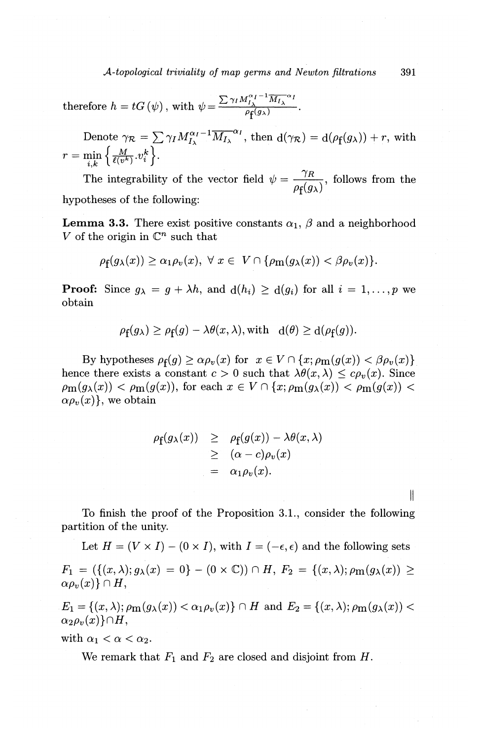*A-topological triviality of map germs and Newton filtrations* 391

therefore  $h = tG(\psi)$ , with  $\psi = \frac{\sum \gamma_I M_{I_{\lambda}}^{\alpha_I - 1} \overline{M_{I_{\lambda}}}{}^{\alpha_I}}{\rho_f(g_{\lambda})}$ 

Denote  $\gamma_R = \sum \gamma_I M_{I_{\lambda}}^{\alpha_I - 1} \overline{M_{I_{\lambda}}}^{\alpha_I}$ , then  $d(\gamma_R) = d(\rho_f(g_{\lambda})) + r$ , with  $r = \min_{i,k} \left\{ \frac{M}{\ell(v^k)}, v_i^k \right\}.$ 

The integrability of the vector field  $\psi = \frac{y}{\sqrt{2}}$ , follows from the  $\rho_{\bf f}(g_\lambda)$ hypotheses of the following:

**Lemma 3.3.** There exist positive constants  $\alpha_1$ ,  $\beta$  and a neighborhood *V* of the origin in  $\mathbb{C}^n$  such that

$$
\rho_{\mathbf{f}}(g_{\lambda}(x)) \geq \alpha_1 \rho_v(x), \ \forall \ x \in \ V \cap \{ \rho_{\mathbf{m}}(g_{\lambda}(x)) < \beta \rho_v(x) \}.
$$

**Proof:** Since  $g_{\lambda} = g + \lambda h$ , and  $d(h_i) \geq d(g_i)$  for all  $i = 1, ..., p$  we obtain

$$
\rho_{\mathbf{f}}(g_{\lambda}) \ge \rho_{\mathbf{f}}(g) - \lambda \theta(x, \lambda), \text{with} \quad d(\theta) \ge d(\rho_{\mathbf{f}}(g)).
$$

By hypotheses  $\rho_f(g) \ge \alpha \rho_v(x)$  for  $x \in V \cap \{x; \rho_m(g(x)) < \beta \rho_v(x)\}\$ hence there exists a constant  $c > 0$  such that  $\lambda \theta(x, \lambda) \leq c \rho_v(x)$ . Since  $\rho_{\mathbf{m}}(g_{\lambda}(x)) < \rho_{\mathbf{m}}(g(x))$ , for each  $x \in V \cap \{x; \rho_{\mathbf{m}}(g_{\lambda}(x)) < \rho_{\mathbf{m}}(g(x))$  $\alpha \rho_v(x)$ , we obtain

$$
\rho_f(g_\lambda(x)) \geq \rho_f(g(x)) - \lambda \theta(x, \lambda)
$$
  
\n
$$
\geq (\alpha - c)\rho_v(x)
$$
  
\n
$$
= \alpha_1 \rho_v(x).
$$

∥

To finish the proof of the Proposition 3.1., consider the following partition of the unity.

Let  $H = (V \times I) - (0 \times I)$ , with  $I = (-\epsilon, \epsilon)$  and the following sets  $F_1 = (\{(x, \lambda); g_{\lambda}(x) = 0\} - (0 \times \mathbb{C})) \cap H, F_2 = \{(x, \lambda); \rho_{\mathbf{m}}(g_{\lambda}(x)) \geq$  $\alpha \rho_v(x) \} \cap H$ ,

 $E_1 = \{(x, \lambda); \rho_{\text{m}}(g_{\lambda}(x)) < \alpha_1 \rho_v(x)\} \cap H$  and  $E_2 = \{(x, \lambda); \rho_{\text{m}}(g_{\lambda}(x)) <$  $\alpha_2\rho_v(x)\}\cap H$ ,

with  $\alpha_1 < \alpha < \alpha_2$ .

We remark that  $F_1$  and  $F_2$  are closed and disjoint from H.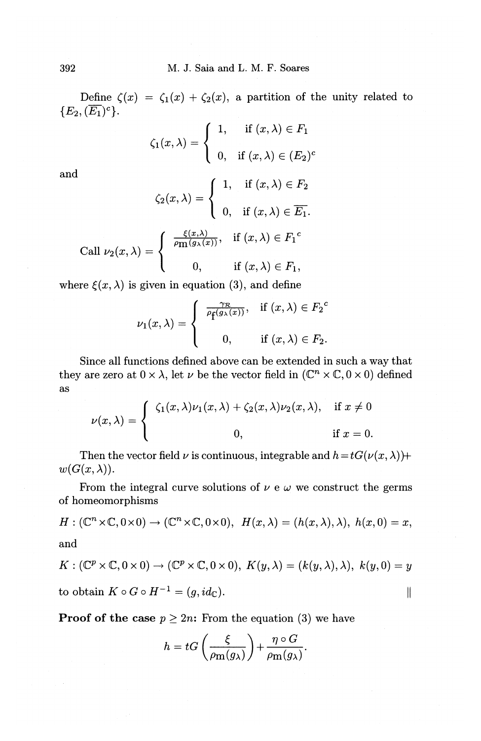Define  $\zeta(x) = \zeta_1(x) + \zeta_2(x)$ , a partition of the unity related to  ${E_2, (\overline{E_1})^c}.$ 

| $\zeta_1(x,\lambda) = \begin{cases} 1, & \text{if } (x,\lambda) \in F_1 \\ 0, & \text{if } (x,\lambda) \in (E_2)^c \end{cases}$ |  |
|---------------------------------------------------------------------------------------------------------------------------------|--|
|                                                                                                                                 |  |

and

$$
\zeta_2(x,\lambda) = \begin{cases}\n1, & \text{if } (x,\lambda) \in F_2 \\
0, & \text{if } (x,\lambda) \in \overline{E_1}.\n\end{cases}
$$
\nCall  $\nu_2(x,\lambda) = \begin{cases}\n\frac{\xi(x,\lambda)}{\rho_{\text{m}}(g_\lambda(x))}, & \text{if } (x,\lambda) \in F_1^c \\
0, & \text{if } (x,\lambda) \in F_1,\n\end{cases}$ 

where  $\xi(x, \lambda)$  is given in equation (3), and define

$$
\nu_1(x,\lambda)=\left\{\begin{array}{cl}\frac{\gamma_{\mathcal{R}}}{\rho_{\mathbf{f}}(g_\lambda(x))},&\text{if}~(x,\lambda)\in{F_2}^c\\ \\0,&\text{if}~(x,\lambda)\in{F_2}.\end{array}\right.
$$

Since all functions defined above can be extended in such a way that they are zero at  $0\times\lambda,$  let  $\nu$  be the vector field in  $(\mathbb{C}^n\times\mathbb{C},0\times 0)$  defined as

$$
\nu(x,\lambda) = \begin{cases} \zeta_1(x,\lambda)\nu_1(x,\lambda) + \zeta_2(x,\lambda)\nu_2(x,\lambda), & \text{if } x \neq 0 \\ 0, & \text{if } x = 0. \end{cases}
$$

Then the vector field  $\nu$  is continuous, integrable and  $h=tG(\nu(x, \lambda))+$  $w(G(x,\lambda)).$ 

From the integral curve solutions of  $\nu \in \omega$  we construct the germs of homeomorphisms

$$
H: (\mathbb{C}^n \times \mathbb{C}, 0 \times 0) \to (\mathbb{C}^n \times \mathbb{C}, 0 \times 0), \ H(x, \lambda) = (h(x, \lambda), \lambda), \ h(x, 0) = x,
$$
 and

$$
K: (\mathbb{C}^p \times \mathbb{C}, 0 \times 0) \to (\mathbb{C}^p \times \mathbb{C}, 0 \times 0), K(y, \lambda) = (k(y, \lambda), \lambda), k(y, 0) = y
$$
  
to obtain  $K \circ G \circ H^{-1} = (g, id_{\mathbb{C}}).$ 

**Proof of the case**  $p \geq 2n$ : From the equation (3) we have

$$
h = tG\left(\frac{\xi}{\rho_{\mathbf{m}}(g_{\lambda})}\right) + \frac{\eta \circ G}{\rho_{\mathbf{m}}(g_{\lambda})}.
$$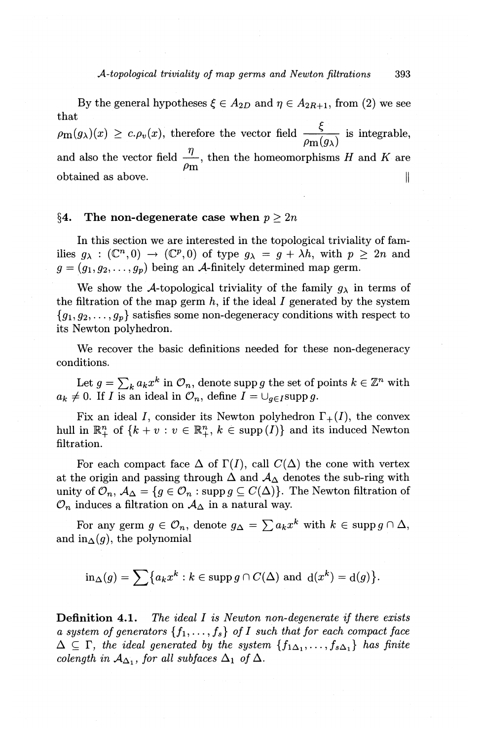By the general hypotheses  $\xi \in A_{2D}$  and  $\eta \in A_{2R+1}$ , from (2) we see that

 $\rho_{\mathbf{m}}(g_{\lambda})(x) \geq c \cdot \rho_{v}(x)$ , therefore the vector field  $\frac{\xi}{\rho_{\mathbf{m}}(g_{\lambda})}$  is integrable, and also the vector field  $\frac{1}{\sqrt{2}}$ , then the homeomorphisms H and K are  $\rho_{\bf m}$ obtained as above.  $\parallel$ 

#### §4. The non-degenerate case when  $p \geq 2n$

In this section we are interested in the topological triviality of families  $q_{\lambda} : (\mathbb{C}^n, 0) \to (\mathbb{C}^p, 0)$  of type  $q_{\lambda} = q + \lambda h$ , with  $p \geq 2n$  and  $g = (g_1, g_2, \ldots, g_n)$  being an A-finitely determined map germ.

We show the A-topological triviality of the family  $g_{\lambda}$  in terms of the filtration of the map germ *h,* if the ideal *I* generated by the system  ${g_1, g_2, \ldots, g_p}$  satisfies some non-degeneracy conditions with respect to its Newton polyhedron.

We recover the basic definitions needed for these non-degeneracy conditions.

Let  $g = \sum_k a_k x^k$  in  $\mathcal{O}_n$ , denote supp *g* the set of points  $k \in \mathbb{Z}^n$  with  $a_k \neq 0$ . If *I* is an ideal in  $\mathcal{O}_n$ , define  $I = \bigcup_{g \in I} \text{supp } g$ .

Fix an ideal *I*, consider its Newton polyhedron  $\Gamma_+(I)$ , the convex hull in  $\mathbb{R}_+^n$  of  $\{k + v : v \in \mathbb{R}_+^n, k \in \text{supp}(I)\}\$  and its induced Newton filtration.

For each compact face  $\Delta$  of  $\Gamma(I)$ , call  $C(\Delta)$  the cone with vertex at the origin and passing through  $\Delta$  and  $\mathcal{A}_{\Delta}$  denotes the sub-ring with unity of  $\mathcal{O}_n$ ,  $\mathcal{A}_{\Delta} = \{g \in \mathcal{O}_n : \text{supp } g \subseteq C(\Delta)\}\)$ . The Newton filtration of  $\mathcal{O}_n$  induces a filtration on  $\mathcal{A}_\Delta$  in a natural way.

For any germ  $g \in \mathcal{O}_n$ , denote  $g_{\Delta} = \sum a_k x^k$  with  $k \in \text{supp } g \cap \Delta$ , and in  $\Lambda(q)$ , the polynomial

$$
\text{in}_{\Delta}(g) = \sum \bigl\{a_k x^k : k \in \operatorname{supp} g \cap C(\Delta) \,\, \text{and} \,\, \mathrm{d}(x^k) = \mathrm{d}(g) \bigr\}.
$$

Definition 4.1. *The ideal I is Newton non-degenerate if there exists a system of generators*  $\{f_1, \ldots, f_s\}$  *of I such that for each compact face*  $\Delta \subseteq \Gamma$ , the ideal generated by the system  $\{f_{1\Delta_1}, \ldots, f_{s\Delta_n}\}\$  has finite *colength in*  $A_{\Delta_1}$ , *for all subfaces*  $\Delta_1$  *of*  $\Delta$ .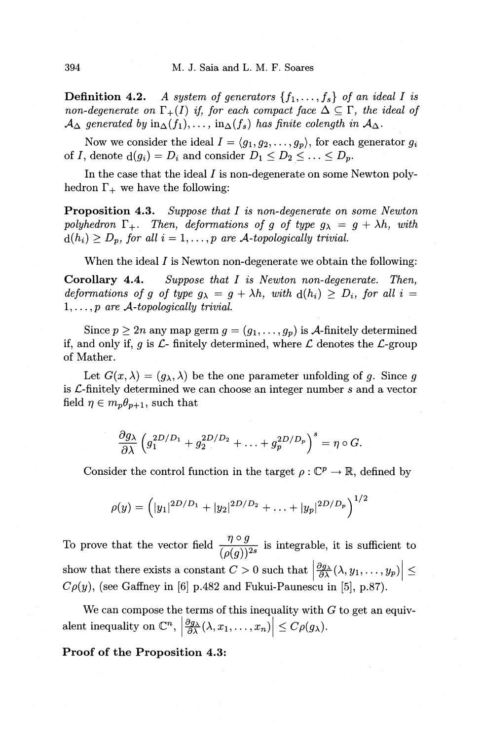**Definition 4.2.** *A system of generators*  $\{f_1, \ldots, f_s\}$  *of an ideal I is non-degenerate on*  $\Gamma_+(I)$  *if, for each compact face*  $\Delta \subseteq \Gamma$ *, the ideal of*  $\mathcal{A}_{\Delta}$  generated by  $\text{in}_{\Delta}(f_1), \ldots, \text{in}_{\Delta}(f_s)$  has finite colength in  $\mathcal{A}_{\Delta}$ .

Now we consider the ideal  $I = \langle g_1, g_2, \ldots, g_p \rangle$ , for each generator  $g_i$ of *I*, denote  $d(g_i) = D_i$  and consider  $D_1 \leq D_2 \leq \ldots \leq D_p$ .

In the case that the ideal  $I$  is non-degenerate on some Newton polyhedron  $\Gamma_+$  we have the following:

Proposition 4.3. *Suppose that I is non-degenerate on some Newton*  polyhedron  $\Gamma_+$ . Then, deformations of g of type  $g_{\lambda} = g + \lambda h$ , with  $d(h_i) \geq D_p$ , for all  $i = 1, \ldots, p$  are A-topologically trivial.

When the ideal  $I$  is Newton non-degenerate we obtain the following:

Corollary 4.4. *Suppose that* I *is Newton non-degenerate. Then, deformations of g of type*  $g_{\lambda} = g + \lambda h$ *, with*  $d(h_i) \ge D_i$ , for all  $i =$ 1, ... , *p are A-topologically trivial.* 

Since  $p \ge 2n$  any map germ  $g = (g_1, \ldots, g_p)$  is *A*-finitely determined if, and only if, g is  $\mathcal{L}$ - finitely determined, where  $\mathcal L$  denotes the  $\mathcal L$ -group of Mather.

Let  $G(x, \lambda) = (g_{\lambda}, \lambda)$  be the one parameter unfolding of g. Since g. is £-finitely determined we can choose an integer number *s* and a vector field  $\eta \in m_p \theta_{p+1}$ , such that

$$
\frac{\partial g_{\lambda}}{\partial \lambda} \left( g_1^{2D/D_1} + g_2^{2D/D_2} + \ldots + g_p^{2D/D_p} \right)^s = \eta \circ G.
$$

Consider the control function in the target  $\rho : \mathbb{C}^p \to \mathbb{R}$ , defined by

$$
\rho(y) = (|y_1|^{2D/D_1} + |y_2|^{2D/D_2} + \ldots + |y_p|^{2D/D_p})^{1/2}
$$

To prove that the vector field  $\frac{\eta \circ g}{(\rho(g))^2}$  is integrable, it is sufficient to show that there exists a constant  $C > 0$  such that  $\left|\frac{\partial g_\lambda}{\partial \lambda}(\lambda, y_1, \ldots, y_p)\right| \leq$  $C\rho(y)$ , (see Gaffney in [6] p.482 and Fukui-Paunescu in [5], p.87).

We can compose the terms of this inequality with  $G$  to get an equivalent inequality on  $\mathbb{C}^n$ ,  $\left|\frac{\partial g_\lambda}{\partial \lambda}(\lambda, x_1, \ldots, x_n)\right| \leq C \rho(g_\lambda)$ .

Proof of the Proposition 4.3: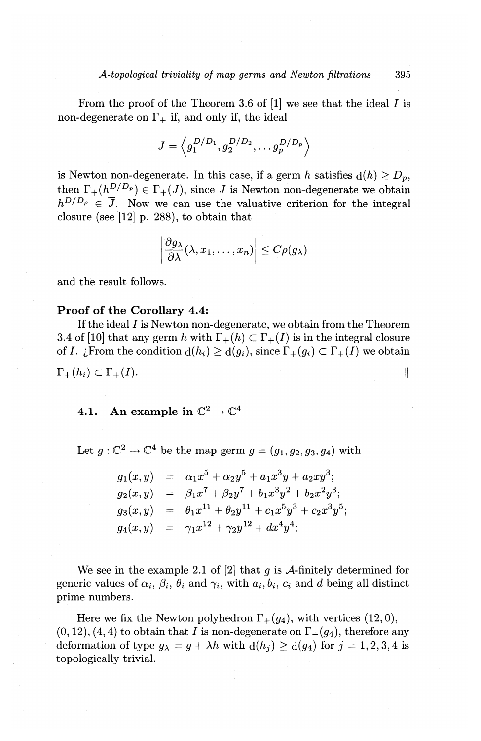From the proof of the Theorem 3.6 of **[1]** we see that the ideal I is non-degenerate on  $\Gamma_+$  if, and only if, the ideal

$$
J=\left\langle g_{1}^{D/D_{1}},g_{2}^{D/D_{2}},\ldots g_{p}^{D/D_{p}}\right\rangle
$$

is Newton non-degenerate. In this case, if a germ h satisfies  $d(h) \ge D_p$ , then  $\Gamma_+(h^{D/D_p}) \in \Gamma_+(J)$ , since J is Newton non-degenerate we obtain  $h^{D/D_p} \in \overline{J}$ . Now we can use the valuative criterion for the integral closure (see [12] p. 288), to obtain that

$$
\left|\frac{\partial g_{\lambda}}{\partial \lambda}(\lambda, x_1, \ldots, x_n)\right| \leq C \rho(g_{\lambda})
$$

and the result follows.

# **Proof of the Corollary 4.4:**

If the ideal I is Newton non-degenerate, we obtain from the Theorem 3.4 of [10] that any germ h with  $\Gamma_+(h) \subset \Gamma_+(I)$  is in the integral closure of *I. i*,From the condition  $d(h_i) \geq d(g_i)$ , since  $\Gamma_+(g_i) \subset \Gamma_+(I)$  we obtain  $\Gamma_+(h_i) \subset \Gamma_+(I).$  $\parallel$ 

# **4.1.** An example in  $\mathbb{C}^2 \to \mathbb{C}^4$

Let  $g: \mathbb{C}^2 \to \mathbb{C}^4$  be the map germ  $g = (g_1, g_2, g_3, g_4)$  with

$$
g_1(x, y) = \alpha_1 x^5 + \alpha_2 y^5 + a_1 x^3 y + a_2 x y^3;
$$
  
\n
$$
g_2(x, y) = \beta_1 x^7 + \beta_2 y^7 + b_1 x^3 y^2 + b_2 x^2 y^3;
$$
  
\n
$$
g_3(x, y) = \theta_1 x^{11} + \theta_2 y^{11} + c_1 x^5 y^3 + c_2 x^3 y^5;
$$
  
\n
$$
g_4(x, y) = \gamma_1 x^{12} + \gamma_2 y^{12} + dx^4 y^4;
$$

We see in the example 2.1 of [2] that *9* is A-finitely determined for generic values of  $\alpha_i$ ,  $\beta_i$ ,  $\theta_i$  and  $\gamma_i$ , with  $a_i, b_i, c_i$  and d being all distinct prime numbers.

Here we fix the Newton polyhedron  $\Gamma_+(g_4)$ , with vertices (12,0),  $(0, 12), (4, 4)$  to obtain that *I* is non-degenerate on  $\Gamma_+(g_4)$ , therefore any deformation of type  $g_{\lambda} = g + \lambda h$  with  $d(h_j) \ge d(g_4)$  for  $j = 1, 2, 3, 4$  is topologically trivial.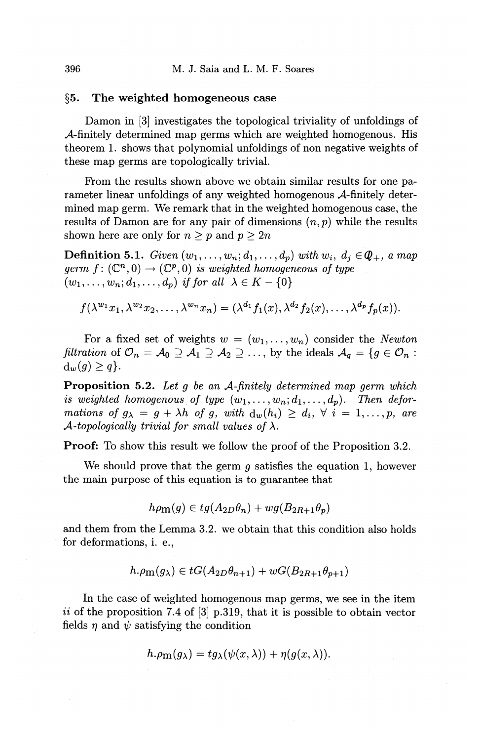### §5. The weighted homogeneous case

Damon in [3] investigates the topological triviality of unfoldings of A-finitely determined map germs which are weighted homogenous. His theorem 1. shows that polynomial unfoldings of non negative weights of these map germs are topologically trivial.

From the results shown above we obtain similar results for one parameter linear unfoldings of any weighted homogenous A-finitely determined map germ. We remark that in the weighted homogenous case, the results of Damon are for any pair of dimensions  $(n, p)$  while the results shown here are only for  $n \geq p$  and  $p \geq 2n$ 

**Definition 5.1.** *Given*  $(w_1, \ldots, w_n; d_1, \ldots, d_p)$  *with*  $w_i$ ,  $d_i \in \mathcal{Q}_+$ , *a map germ*  $f: (\mathbb{C}^n, 0) \to (\mathbb{C}^p, 0)$  *is weighted homogeneous of type*  $(w_1,\ldots,w_n;d_1,\ldots,d_p)$  *if for all*  $\lambda \in K-\{0\}$ 

 $f(\lambda^{w_1}x_1, \lambda^{w_2}x_2, \ldots, \lambda^{w_n}x_n) = (\lambda^{d_1}f_1(x), \lambda^{d_2}f_2(x), \ldots, \lambda^{d_p}f_p(x)).$ 

For a fixed set of weights  $w = (w_1, \ldots, w_n)$  consider the *Newton filtration* of  $\mathcal{O}_n = \mathcal{A}_0 \supseteq \mathcal{A}_1 \supseteq \mathcal{A}_2 \supseteq \ldots$ , by the ideals  $\mathcal{A}_q = \{g \in \mathcal{O}_n : g \in \mathcal{O}_n\}$  $d_w(q) > q$ .

Proposition 5.2. *Let g be an A-finitely determined map germ which is weighted homogenous of type*  $(w_1, \ldots, w_n; d_1, \ldots, d_n)$ . Then defor*mations of*  $g_{\lambda} = g + \lambda h$  *of*  $g$ , with  $d_w(h_i) \geq d_i$ ,  $\forall i = 1, ..., p$ , are *A-topologically trivial for small values of*  $\lambda$ .

Proof: To show this result we follow the proof of the Proposition 3.2.

We should prove that the germ  $q$  satisfies the equation 1, however the main purpose of this equation is to guarantee that

$$
h\rho_{\mathbf{m}}(g) \in tg(A_{2D}\theta_n) + wg(B_{2R+1}\theta_p)
$$

and them from the Lemma 3.2. we obtain that this condition also holds for deformations, i. e.,

$$
h.\rho_{\mathbf{m}}(g_{\lambda}) \in tG(A_{2D}\theta_{n+1}) + wG(B_{2R+1}\theta_{n+1})
$$

In the case of weighted homogenous map germs, we see in the item ii of the proposition 7.4 of  $[3]$  p.319, that it is possible to obtain vector fields  $\eta$  and  $\psi$  satisfying the condition

$$
h.\rho_{\mathbf{m}}(g_{\lambda}) = t g_{\lambda}(\psi(x,\lambda)) + \eta(g(x,\lambda)).
$$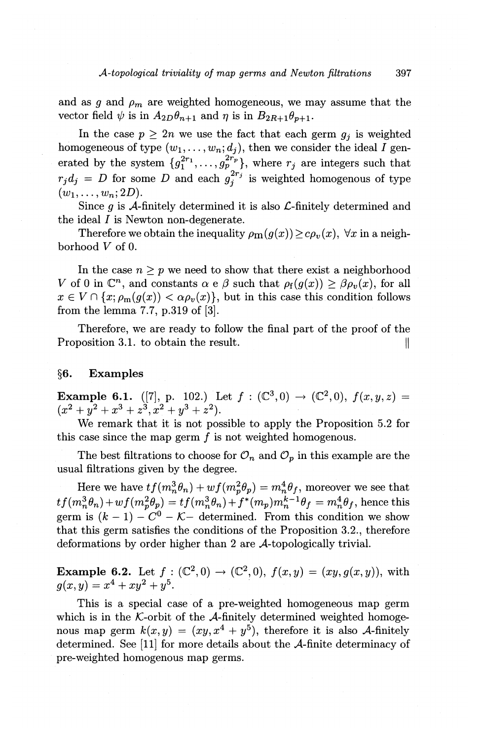and as  $g$  and  $\rho_m$  are weighted homogeneous, we may assume that the vector field  $\psi$  is in  $A_{2D}\theta_{n+1}$  and  $\eta$  is in  $B_{2R+1}\theta_{p+1}$ .

In the case  $p > 2n$  we use the fact that each germ  $q_i$  is weighted homogeneous of type  $(w_1, \ldots, w_n; d_j)$ , then we consider the ideal I generated by the system  $\{g_1^{2r_1}, \ldots, g_p^{2r_p}\}$ , where  $r_j$  are integers such that  $r_j d_j = D$  for some *D* and each  $g_j^{2r_j}$  is weighted homogenous of type  $(w_1, \ldots, w_n; 2D)$ .

Since  $g$  is A-finitely determined it is also  $\mathcal{L}\text{-finitely determined and}$ the ideal I is Newton non-degenerate.

Therefore we obtain the inequality  $\rho_{m}(g(x)) \geq c \rho_{v}(x)$ ,  $\forall x$  in a neighborhood *V* of 0.

In the case  $n \geq p$  we need to show that there exist a neighborhood *V* of 0 in  $\mathbb{C}^n$ , and constants  $\alpha \in \beta$  such that  $\rho_f(g(x)) \geq \beta \rho_v(x)$ , for all  $x \in V \cap \{x; \rho_m(g(x)) < \alpha \rho_v(x)\}\$ , but in this case this condition follows from the lemma 7.7, p.319 of [3].

Therefore, we are ready to follow the final part of the proof of the Proposition 3.1. to obtain the result.

# **§6. Examples**

**Example 6.1.** ([7], p. 102.) Let  $f : (\mathbb{C}^3, 0) \to (\mathbb{C}^2, 0)$ ,  $f(x, y, z) =$  $(x^{2}+y^{2}+x^{3}+z^{3}, x^{2}+y^{3}+z^{2}).$ 

We remark that it is not possible to apply the Proposition 5.2 for this case since the map germ  $f$  is not weighted homogenous.

The best filtrations to choose for  $\mathcal{O}_n$  and  $\mathcal{O}_p$  in this example are the usual filtrations given by the degree.

Here we have  $tf(m_n^3\theta_n)+wf(m_p^2\theta_p)=m_n^4\theta_f$ , moreover we see that  $tf(m_n^3\theta_n)+wf(m_p^2\theta_p)=tf(m_n^3\theta_n)+f^*(m_p)m_n^{k-1}\theta_f=m_n^4\theta_f,$  hence this germ is  $(k - 1) - C^0 - K$  determined. From this condition we show that this germ satisfies the conditions of the Proposition 3.2., therefore deformations by order higher than 2 are A-topologically trivial.

**Example 6.2.** Let  $f: (\mathbb{C}^2, 0) \to (\mathbb{C}^2, 0), f(x, y) = (xy, g(x, y)),$  with  $q(x,y) = x^4 + xy^2 + y^5$ .

This is a special case of a pre-weighted homogeneous map germ which is in the  $K$ -orbit of the  $A$ -finitely determined weighted homogenous map germ  $k(x, y) = (xy, x^4 + y^5)$ , therefore it is also A-finitely determined. See [11] for more details about the A-finite determinacy of pre-weighted homogenous map germs.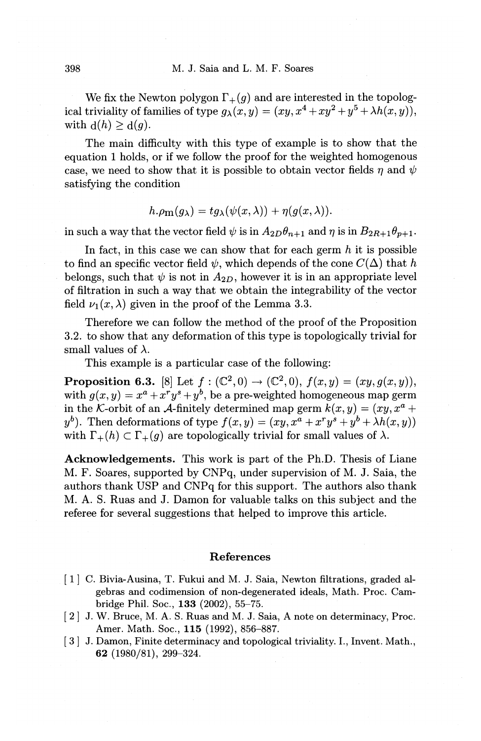We fix the Newton polygon  $\Gamma_+(g)$  and are interested in the topological triviality of families of type  $g_{\lambda}(x, y) = (xy, x^4 + xy^2 + y^5 + \lambda h(x, y)),$ with  $d(h) \geq d(g)$ .

The main difficulty with this type of example is to show that the equation 1 holds, or if we follow the proof for the weighted homogenous case, we need to show that it is possible to obtain vector fields  $\eta$  and  $\psi$ satisfying the condition

$$
h.\rho_{\mathbf{m}}(g_{\lambda}) = t g_{\lambda}(\psi(x,\lambda)) + \eta(g(x,\lambda)).
$$

in such a way that the vector field  $\psi$  is in  $A_{2D}\theta_{n+1}$  and  $\eta$  is in  $B_{2R+1}\theta_{p+1}$ .

In fact, in this case we can show that for each germ *h* it is possible to find an specific vector field  $\psi$ , which depends of the cone  $C(\Delta)$  that *h* belongs, such that  $\psi$  is not in  $A_{2D}$ , however it is in an appropriate level of filtration in such a way that we obtain the integrability of the vector field  $\nu_1(x, \lambda)$  given in the proof of the Lemma 3.3.

Therefore we can follow the method of the proof of the Proposition 3.2. to show that any deformation of this type is topologically trivial for small values of  $\lambda$ .

This example is a particular case of the following:

**Proposition 6.3.** [8] Let  $f: (\mathbb{C}^2, 0) \to (\mathbb{C}^2, 0), f(x, y) = (xy, g(x, y)),$ with  $g(x, y) = x^a + x^r y^s + y^b$ , be a pre-weighted homogeneous map germ in the *K*-orbit of an *A*-finitely determined map germ  $k(x, y) = (xy, x^a + y^b)$  $y^b$ ). Then deformations of type  $f(x,y) = (xy, x^a + x^r y^s + y^b + \lambda h(x,y))$ with  $\Gamma_+(h) \subset \Gamma_+(g)$  are topologically trivial for small values of  $\lambda$ .

Acknowledgements. This work is part of the Ph.D. Thesis of Liane M. F. Soares, supported by CNPq, under supervision of M. J. Saia, the authors thank USP and CNPq for this support. The authors also thank M. A. S. Ruas and J. Damon for valuable talks on this subject and the referee for several suggestions that helped to improve this article.

### References

- [ 1] C. Bivia-Ausina, T. Fukui and M. J. Saia, Newton filtrations, graded algebras and codimension of non-degenerated ideals, Math. Proc. Cambridge Phil. Soc., 133 (2002), 55-75.
- [ 2] J. W. Bruce, M. A. S. Ruas and M. J. Saia, A note on determinacy, Proc. Amer. Math. Soc., 115 (1992), 856-887.
- $\mid 3 \mid J$ . Damon, Finite determinacy and topological triviality. I., Invent. Math., 62 (1980/81), 299-324.